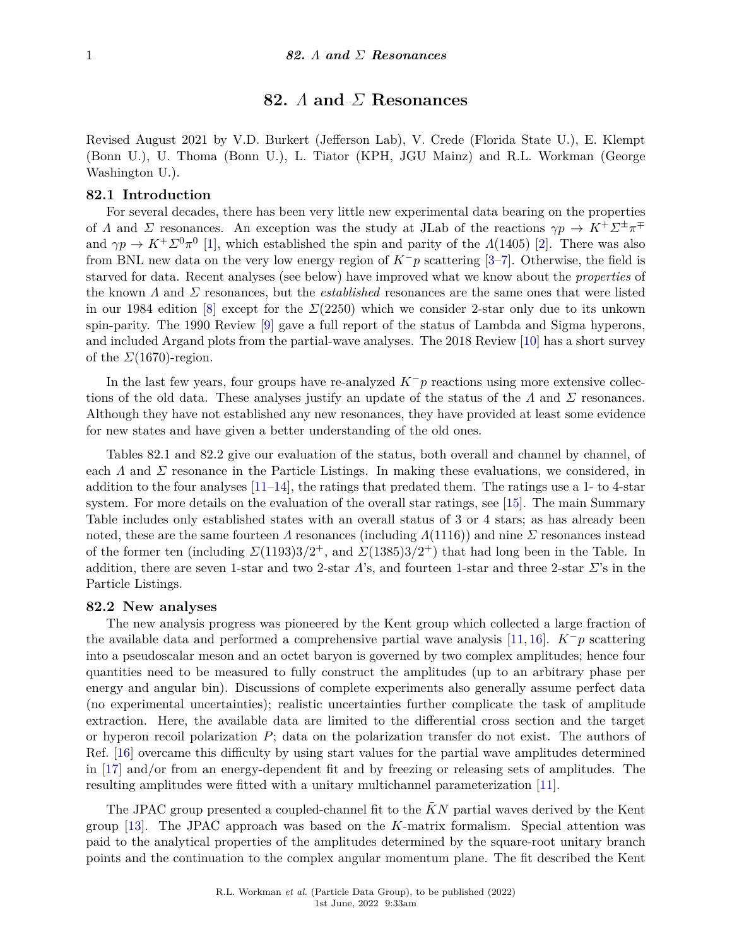# **82.** *Λ* **and** *Σ* **Resonances**

Revised August 2021 by V.D. Burkert (Jefferson Lab), V. Crede (Florida State U.), E. Klempt (Bonn U.), U. Thoma (Bonn U.), L. Tiator (KPH, JGU Mainz) and R.L. Workman (George Washington U.).

## **82.1 Introduction**

For several decades, there has been very little new experimental data bearing on the properties of *Λ* and *Σ* resonances. An exception was the study at JLab of the reactions  $\gamma p \to K^+ \Sigma^{\pm} \pi^{\mp}$ and  $\gamma p \to K^+ \Sigma^0 \pi^0$  [\[1\]](#page-4-0), which established the spin and parity of the *Λ*(1405) [\[2\]](#page-5-0). There was also from BNL new data on the very low energy region of *K*−*p* scattering [\[3](#page-5-1)[–7\]](#page-5-2). Otherwise, the field is starved for data. Recent analyses (see below) have improved what we know about the *properties* of the known *Λ* and *Σ* resonances, but the *established* resonances are the same ones that were listed in our 1984 edition [\[8\]](#page-5-3) except for the *Σ*(2250) which we consider 2-star only due to its unkown spin-parity. The 1990 Review [\[9\]](#page-5-4) gave a full report of the status of Lambda and Sigma hyperons, and included Argand plots from the partial-wave analyses. The 2018 Review [\[10\]](#page-5-5) has a short survey of the  $\Sigma(1670)$ -region.

In the last few years, four groups have re-analyzed *K*−*p* reactions using more extensive collections of the old data. These analyses justify an update of the status of the *Λ* and *Σ* resonances. Although they have not established any new resonances, they have provided at least some evidence for new states and have given a better understanding of the old ones.

Tables 82.1 and 82.2 give our evaluation of the status, both overall and channel by channel, of each  $\Lambda$  and  $\Sigma$  resonance in the Particle Listings. In making these evaluations, we considered, in addition to the four analyses  $[11-14]$  $[11-14]$ , the ratings that predated them. The ratings use a 1- to 4-star system. For more details on the evaluation of the overall star ratings, see [\[15\]](#page-5-8). The main Summary Table includes only established states with an overall status of 3 or 4 stars; as has already been noted, these are the same fourteen *Λ* resonances (including *Λ*(1116)) and nine *Σ* resonances instead of the former ten (including  $\Sigma(1193)3/2^+$ , and  $\Sigma(1385)3/2^+$ ) that had long been in the Table. In addition, there are seven 1-star and two 2-star *Λ*'s, and fourteen 1-star and three 2-star *Σ*'s in the Particle Listings.

### **82.2 New analyses**

The new analysis progress was pioneered by the Kent group which collected a large fraction of the available data and performed a comprehensive partial wave analysis [\[11,](#page-5-6) [16\]](#page-5-9).  $K^-p$  scattering into a pseudoscalar meson and an octet baryon is governed by two complex amplitudes; hence four quantities need to be measured to fully construct the amplitudes (up to an arbitrary phase per energy and angular bin). Discussions of complete experiments also generally assume perfect data (no experimental uncertainties); realistic uncertainties further complicate the task of amplitude extraction. Here, the available data are limited to the differential cross section and the target or hyperon recoil polarization *P*; data on the polarization transfer do not exist. The authors of Ref. [\[16\]](#page-5-9) overcame this difficulty by using start values for the partial wave amplitudes determined in [\[17\]](#page-5-10) and/or from an energy-dependent fit and by freezing or releasing sets of amplitudes. The resulting amplitudes were fitted with a unitary multichannel parameterization [\[11\]](#page-5-6).

The JPAC group presented a coupled-channel fit to the KN partial waves derived by the Kent group [\[13\]](#page-5-11). The JPAC approach was based on the *K*-matrix formalism. Special attention was paid to the analytical properties of the amplitudes determined by the square-root unitary branch points and the continuation to the complex angular momentum plane. The fit described the Kent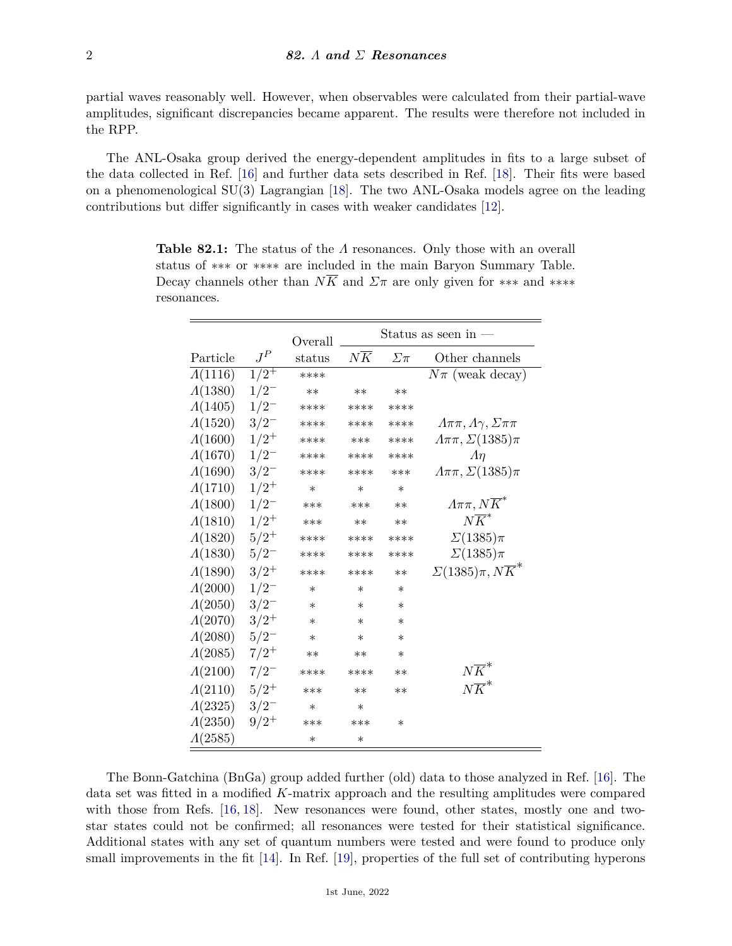partial waves reasonably well. However, when observables were calculated from their partial-wave amplitudes, significant discrepancies became apparent. The results were therefore not included in the RPP.

The ANL-Osaka group derived the energy-dependent amplitudes in fits to a large subset of the data collected in Ref. [\[16\]](#page-5-9) and further data sets described in Ref. [\[18\]](#page-5-12). Their fits were based on a phenomenological SU(3) Lagrangian [\[18\]](#page-5-12). The two ANL-Osaka models agree on the leading contributions but differ significantly in cases with weaker candidates [\[12\]](#page-5-13).

|                 |              | Overall |                 |             | Status as seen in -                |
|-----------------|--------------|---------|-----------------|-------------|------------------------------------|
| Particle        | ${\cal J}^P$ | status  | $N\overline{K}$ | $\Sigma\pi$ | Other channels                     |
| $\Lambda(1116)$ | $1/2^+$      | ****    |                 |             | $N\pi$ (weak decay)                |
| $\Lambda(1380)$ | $1/2^{-}$    | $***$   | $***$           | $***$       |                                    |
| $\Lambda(1405)$ | $1/2^{-}$    | ****    | ****            | ****        |                                    |
| $\Lambda(1520)$ | $3/2^{-}$    | ****    | ****            | ****        | $A\pi\pi, A\gamma, \Sigma\pi\pi$   |
| $\Lambda(1600)$ | $1/2^+$      | ****    | ***             | ****        | $A\pi\pi, \Sigma(1385)\pi$         |
| $\Lambda(1670)$ | $1/2^{-}$    | ****    | ****            | ****        | An                                 |
| $\Lambda(1690)$ | $3/2^{-}$    | ****    | ****            | ***         | $A\pi\pi, \Sigma(1385)\pi$         |
| $\Lambda(1710)$ | $1/2^+$      | $\ast$  | $\ast$          | $\ast$      |                                    |
| $\Lambda(1800)$ | $1/2^{-}$    | ***     | ***             | $**$        | $A\pi\pi, N\overline{K}^*$         |
| $\Lambda(1810)$ | $1/2^+$      | ***     | $**$            | $**$        | $N\overline{K}^*$                  |
| $\Lambda(1820)$ | $5/2^+$      | ****    | ****            | ****        | $\Sigma(1385)\pi$                  |
| $\Lambda(1830)$ | $5/2^{-}$    | ****    | ****            | ****        | $\Sigma(1385)\pi$                  |
| $\Lambda(1890)$ | $3/2^+$      | ****    | ****            | $***$       | $\Sigma(1385)\pi, N\overline{K}^*$ |
| $\Lambda(2000)$ | $1/2^{-}$    | $\ast$  | $^\ast$         | $\ast$      |                                    |
| $\Lambda(2050)$ | $3/2^{-}$    | $\ast$  | $\ast$          | $\ast$      |                                    |
| $\Lambda(2070)$ | $3/2^+$      | $\ast$  | $\ast$          | $\ast$      |                                    |
| $\Lambda(2080)$ | $5/2^-$      | $\ast$  | $\ast$          | $\ast$      |                                    |
| $\Lambda(2085)$ | $7/2^+$      | $**$    | $**$            | $\ast$      |                                    |
| $\Lambda(2100)$ | $7/2^{-}$    | ****    | ****            | $**$        | $N\overline{K}^{*}$                |
| $\Lambda(2110)$ | $5/2^+$      | ***     | $**$            | $**$        | $N\overline{K}^*$                  |
| $\Lambda(2325)$ | $3/2^{-}$    | $\ast$  | $\ast$          |             |                                    |
| $\Lambda(2350)$ | $9/2^+$      | ***     | ***             | $\ast$      |                                    |
| $\Lambda(2585)$ |              | $\ast$  | ∗               |             |                                    |

**Table 82.1:** The status of the *Λ* resonances. Only those with an overall status of ∗∗∗ or ∗∗∗∗ are included in the main Baryon Summary Table. Decay channels other than  $N\overline{K}$  and  $\Sigma\pi$  are only given for \*\*\* and \*\*\*\* resonances.

The Bonn-Gatchina (BnGa) group added further (old) data to those analyzed in Ref. [\[16\]](#page-5-9). The data set was fitted in a modified *K*-matrix approach and the resulting amplitudes were compared with those from Refs. [\[16,](#page-5-9) [18\]](#page-5-12). New resonances were found, other states, mostly one and twostar states could not be confirmed; all resonances were tested for their statistical significance. Additional states with any set of quantum numbers were tested and were found to produce only small improvements in the fit [\[14\]](#page-5-7). In Ref. [\[19\]](#page-5-14), properties of the full set of contributing hyperons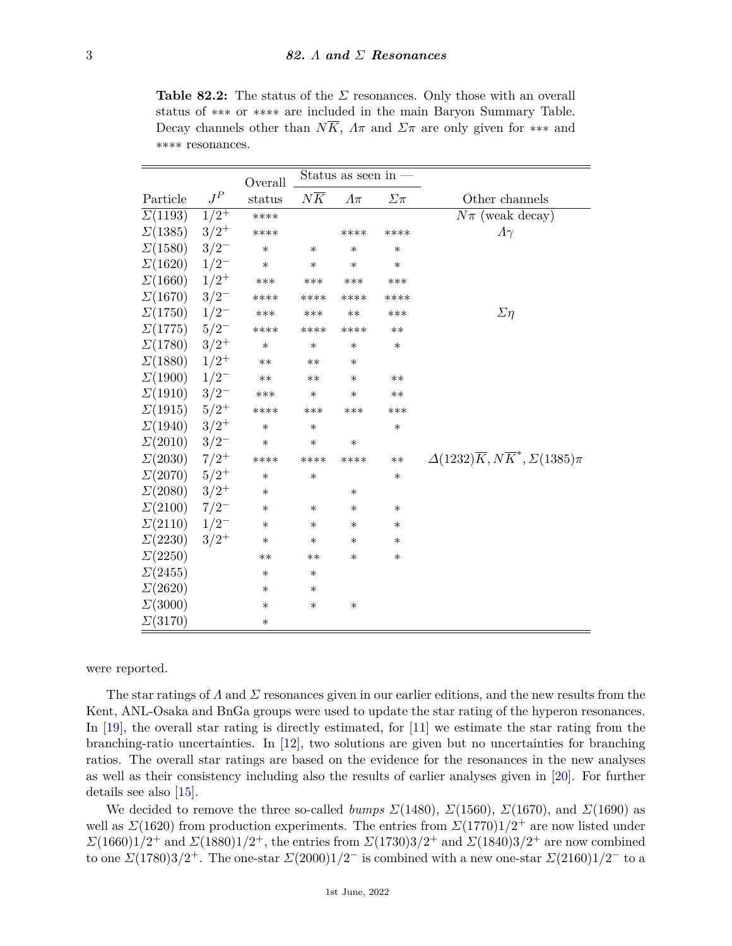**Table 82.2:** The status of the *Σ* resonances. Only those with an overall status of ∗∗∗ or ∗∗∗∗ are included in the main Baryon Summary Table. Decay channels other than  $N\overline{K}$ ,  $\Lambda\pi$  and  $\Sigma\pi$  are only given for \*\*\* and ∗∗∗∗ resonances.

|                                  |              | Overall | Status as seen in - |              |             |                                                                    |
|----------------------------------|--------------|---------|---------------------|--------------|-------------|--------------------------------------------------------------------|
| Particle                         | ${\cal J}^P$ | status  | $N\overline{K}$     | $\Lambda\pi$ | $\Sigma\pi$ | Other channels                                                     |
| $\Sigma(1193)$                   | $1/2^{+}$    | ****    |                     |              |             | $N\pi$ (weak decay)                                                |
| $\Sigma(1385)$                   | $3/2^+$      | ****    |                     | ****         | ****        | $\Lambda\gamma$                                                    |
| $\Sigma(1580)$                   | $3/2^{-}$    | $\ast$  | $\ast$              | $\ast$       | $\ast$      |                                                                    |
| $\Sigma(1620)$ $1/2^-$           |              | $\ast$  | $\ast$              | $\ast$       | $\ast$      |                                                                    |
| $\Sigma(1660)$                   | $1/2^+$      | $***$   | ***                 | ***          | ***         |                                                                    |
| $\Sigma(1670)$ 3/2 <sup>-1</sup> |              | ****    | ****                | ****         | ****        |                                                                    |
| $\Sigma(1750)$ $1/2^-$           |              | ***     | ***                 | $***$        | ***         | $\Sigma$ η                                                         |
| $\Sigma(1775) \quad 5/2^-$       |              | ****    | ****                | ****         | $**$        |                                                                    |
| $\Sigma(1780)$ $3/2^+$           |              | $\ast$  | $\ast$              | $\ast$       | $\ast$      |                                                                    |
| $\Sigma(1880)$ $1/2^+$           |              | $**$    | $**$                | $\ast$       |             |                                                                    |
| $\Sigma(1900)$ $1/2^-$           |              | $**$    | $**$                | $\ast$       | $**$        |                                                                    |
| $\Sigma(1910)$                   | $3/2^{-}$    | ***     | $\ast$              | $\ast$       | $**$        |                                                                    |
| $\Sigma(1915) \quad 5/2^+$       |              | ****    | ***                 | ***          | ***         |                                                                    |
| $\Sigma(1940)$ $3/2^+$           |              | $\ast$  | $\ast$              |              | $\ast$      |                                                                    |
| $\Sigma(2010)$ $3/2^-$           |              | $\ast$  | $\ast$              | $\ast$       |             |                                                                    |
| $\Sigma(2030)$ 7/2 <sup>+</sup>  |              | ****    | ****                | ****         | $***$       | $\Delta(1232)\overline{K}$ , $N\overline{K}^*$ , $\Sigma(1385)\pi$ |
| $\Sigma(2070)$ 5/2 <sup>+</sup>  |              | $\ast$  | $\ast$              |              | $\ast$      |                                                                    |
| $\Sigma(2080)$ $3/2^+$           |              | $\ast$  |                     | $\ast$       |             |                                                                    |
| $\Sigma(2100)$ 7/2 <sup>-1</sup> |              | $\ast$  | $\ast$              | $\ast$       | $\ast$      |                                                                    |
| $\Sigma(2110)$ $1/2^-$           |              | $\ast$  | $\ast$              | $\ast$       | $\ast$      |                                                                    |
| $\mathcal{L}(2230)$              | $3/2^+$      | $\ast$  | $\ast$              | $\ast$       | $\ast$      |                                                                    |
| $\Sigma(2250)$                   |              | $***$   | $***$               | $\ast$       | ∗           |                                                                    |
| $\Sigma(2455)$                   |              | $\ast$  | $\ast$              |              |             |                                                                    |
| $\Sigma(2620)$                   |              | $\ast$  | $\ast$              |              |             |                                                                    |
| $\Sigma(3000)$                   |              | $\ast$  | $\ast$              | $\ast$       |             |                                                                    |
| $\Sigma(3170)$                   |              | $\ast$  |                     |              |             |                                                                    |

were reported.

The star ratings of *Λ* and *Σ* resonances given in our earlier editions, and the new results from the Kent, ANL-Osaka and BnGa groups were used to update the star rating of the hyperon resonances. In [\[19\]](#page-5-14), the overall star rating is directly estimated, for [\[11\]](#page-5-6) we estimate the star rating from the branching-ratio uncertainties. In [\[12\]](#page-5-13), two solutions are given but no uncertainties for branching ratios. The overall star ratings are based on the evidence for the resonances in the new analyses as well as their consistency including also the results of earlier analyses given in [\[20\]](#page-5-15). For further details see also [\[15\]](#page-5-8).

We decided to remove the three so-called *bumps*  $\Sigma(1480)$ ,  $\Sigma(1560)$ ,  $\Sigma(1670)$ , and  $\Sigma(1690)$  as well as *Σ*(1620) from production experiments. The entries from  $\mathcal{Z}(1770)1/2^+$  are now listed under *Σ*(1660)1/2<sup>+</sup> and *Σ*(1880)1/2<sup>+</sup>, the entries from *Σ*(1730)3/2<sup>+</sup> and *Σ*(1840)3/2<sup>+</sup> are now combined to one  $\mathcal{Z}(1780)3/2^+$ . The one-star  $\mathcal{Z}(2000)1/2^-$  is combined with a new one-star  $\mathcal{Z}(2160)1/2^-$  to a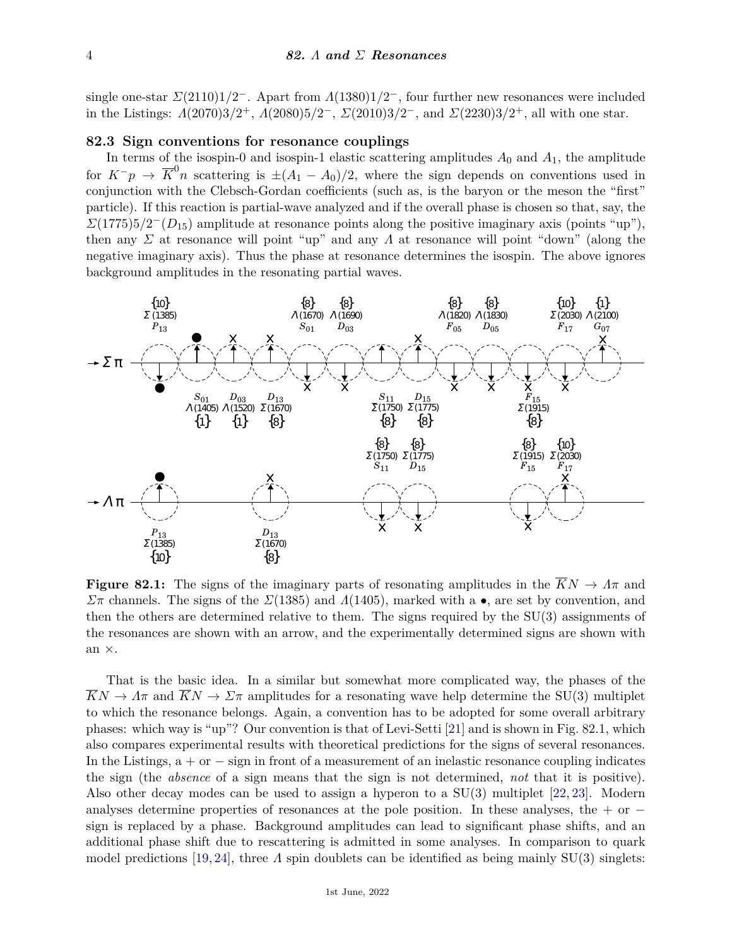single one-star *Σ*(2110)1*/*2 <sup>−</sup>. Apart from *Λ*(1380)1*/*2 <sup>−</sup>, four further new resonances were included in the Listings:  $Λ(2070)3/2<sup>+</sup>$ ,  $Λ(2080)5/2<sup>-</sup>$ ,  $Σ(2010)3/2<sup>-</sup>$ , and  $Σ(2230)3/2<sup>+</sup>$ , all with one star.

### **82.3 Sign conventions for resonance couplings**

In terms of the isospin-0 and isospin-1 elastic scattering amplitudes  $A_0$  and  $A_1$ , the amplitude for  $K^-p \to \overline{K}^0 n$  scattering is  $\pm (A_1 - A_0)/2$ , where the sign depends on conventions used in conjunction with the Clebsch-Gordan coefficients (such as, is the baryon or the meson the "first" particle). If this reaction is partial-wave analyzed and if the overall phase is chosen so that, say, the  $\mathcal{Z}(1775)5/2^-(D_{15})$  amplitude at resonance points along the positive imaginary axis (points "up"), then any *Σ* at resonance will point "up" and any *Λ* at resonance will point "down" (along the negative imaginary axis). Thus the phase at resonance determines the isospin. The above ignores background amplitudes in the resonating partial waves.



**Figure 82.1:** The signs of the imaginary parts of resonating amplitudes in the  $\overline{K}N \to \Lambda \pi$  and *Σ*<sup>π</sup> channels. The signs of the *Σ*(1385) and *Λ*(1405), marked with a •, are set by convention, and then the others are determined relative to them. The signs required by the SU(3) assignments of the resonances are shown with an arrow, and the experimentally determined signs are shown with an ×.

That is the basic idea. In a similar but somewhat more complicated way, the phases of the  $\overline{K}N \to \Lambda \pi$  and  $\overline{K}N \to \Sigma \pi$  amplitudes for a resonating wave help determine the SU(3) multiplet to which the resonance belongs. Again, a convention has to be adopted for some overall arbitrary phases: which way is "up"? Our convention is that of Levi-Setti [\[21\]](#page-5-16) and is shown in Fig. 82.1, which also compares experimental results with theoretical predictions for the signs of several resonances. In the Listings,  $a + or - sign$  in front of a measurement of an inelastic resonance coupling indicates the sign (the *absence* of a sign means that the sign is not determined, *not* that it is positive). Also other decay modes can be used to assign a hyperon to a  $SU(3)$  multiplet [\[22,](#page-5-17) [23\]](#page-5-18). Modern analyses determine properties of resonances at the pole position. In these analyses, the + or  $$ sign is replaced by a phase. Background amplitudes can lead to significant phase shifts, and an additional phase shift due to rescattering is admitted in some analyses. In comparison to quark model predictions [\[19,](#page-5-14) [24\]](#page-5-19), three *Λ* spin doublets can be identified as being mainly SU(3) singlets: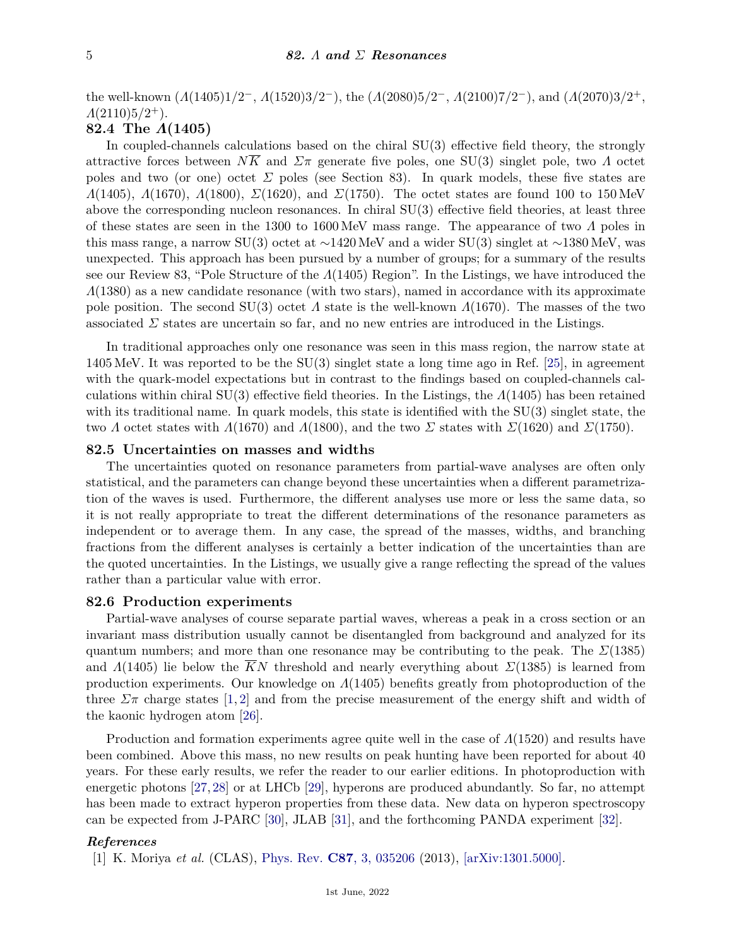the well-known (*Λ*(1405)1*/*2 <sup>−</sup>, *Λ*(1520)3*/*2 <sup>−</sup>), the (*Λ*(2080)5*/*2 <sup>−</sup>, *Λ*(2100)7*/*2 <sup>−</sup>), and (*Λ*(2070)3*/*2 +, *Λ*(2110)5*/*2 <sup>+</sup>).

## **82.4 The** *Λ***(1405)**

In coupled-channels calculations based on the chiral SU(3) effective field theory, the strongly attractive forces between  $N\overline{K}$  and  $\Sigma\pi$  generate five poles, one SU(3) singlet pole, two *Λ* octet poles and two (or one) octet *Σ* poles (see Section 83). In quark models, these five states are *Λ*(1405), *Λ*(1670), *Λ*(1800), *Σ*(1620), and *Σ*(1750). The octet states are found 100 to 150 MeV above the corresponding nucleon resonances. In chiral SU(3) effective field theories, at least three of these states are seen in the 1300 to 1600 MeV mass range. The appearance of two *Λ* poles in this mass range, a narrow SU(3) octet at ∼1420 MeV and a wider SU(3) singlet at ∼1380 MeV, was unexpected. This approach has been pursued by a number of groups; for a summary of the results see our Review 83, "Pole Structure of the *Λ*(1405) Region". In the Listings, we have introduced the *Λ*(1380) as a new candidate resonance (with two stars), named in accordance with its approximate pole position. The second SU(3) octet *Λ* state is the well-known *Λ*(1670). The masses of the two associated  $\Sigma$  states are uncertain so far, and no new entries are introduced in the Listings.

In traditional approaches only one resonance was seen in this mass region, the narrow state at 1405 MeV. It was reported to be the SU(3) singlet state a long time ago in Ref. [\[25\]](#page-5-20), in agreement with the quark-model expectations but in contrast to the findings based on coupled-channels calculations within chiral SU(3) effective field theories. In the Listings, the *Λ*(1405) has been retained with its traditional name. In quark models, this state is identified with the SU(3) singlet state, the two *Λ* octet states with *Λ*(1670) and *Λ*(1800), and the two *Σ* states with  $\Gamma(1620)$  and  $\Gamma(1750)$ .

### **82.5 Uncertainties on masses and widths**

The uncertainties quoted on resonance parameters from partial-wave analyses are often only statistical, and the parameters can change beyond these uncertainties when a different parametrization of the waves is used. Furthermore, the different analyses use more or less the same data, so it is not really appropriate to treat the different determinations of the resonance parameters as independent or to average them. In any case, the spread of the masses, widths, and branching fractions from the different analyses is certainly a better indication of the uncertainties than are the quoted uncertainties. In the Listings, we usually give a range reflecting the spread of the values rather than a particular value with error.

#### **82.6 Production experiments**

Partial-wave analyses of course separate partial waves, whereas a peak in a cross section or an invariant mass distribution usually cannot be disentangled from background and analyzed for its quantum numbers; and more than one resonance may be contributing to the peak. The  $\mathcal{Z}(1385)$ and  $\Lambda(1405)$  lie below the KN threshold and nearly everything about  $\Sigma(1385)$  is learned from production experiments. Our knowledge on *Λ*(1405) benefits greatly from photoproduction of the three  $\Sigma \pi$  charge states [\[1,](#page-4-0) [2\]](#page-5-0) and from the precise measurement of the energy shift and width of the kaonic hydrogen atom [\[26\]](#page-5-21).

Production and formation experiments agree quite well in the case of *Λ*(1520) and results have been combined. Above this mass, no new results on peak hunting have been reported for about 40 years. For these early results, we refer the reader to our earlier editions. In photoproduction with energetic photons [\[27,](#page-5-22) [28\]](#page-5-23) or at LHCb [\[29\]](#page-5-24), hyperons are produced abundantly. So far, no attempt has been made to extract hyperon properties from these data. New data on hyperon spectroscopy can be expected from J-PARC [\[30\]](#page-5-25), JLAB [\[31\]](#page-5-26), and the forthcoming PANDA experiment [\[32\]](#page-5-27).

### <span id="page-4-0"></span>*References*

[1] K. Moriya *et al.* (CLAS), [Phys. Rev.](http://doi.org/10.1103/PhysRevC.87.035206) **C87**[, 3, 035206](http://doi.org/10.1103/PhysRevC.87.035206) (2013), [\[arXiv:1301.5000\].](https://arxiv.org/abs/1301.5000)